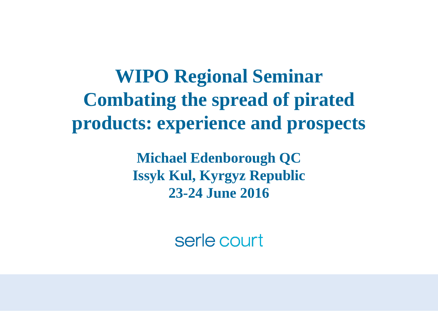**WIPO Regional Seminar Combating the spread of pirated products: experience and prospects**

> **Michael Edenborough QC Issyk Kul, Kyrgyz Republic 23-24 June 2016**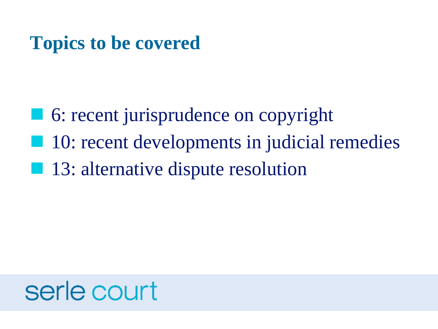#### **Topics to be covered**

■ 6: recent jurisprudence on copyright ■ 10: recent developments in judicial remedies ■ 13: alternative dispute resolution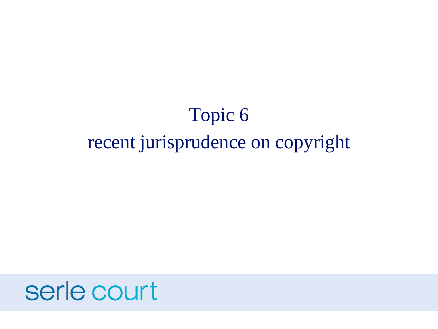### Topic 6 recent jurisprudence on copyright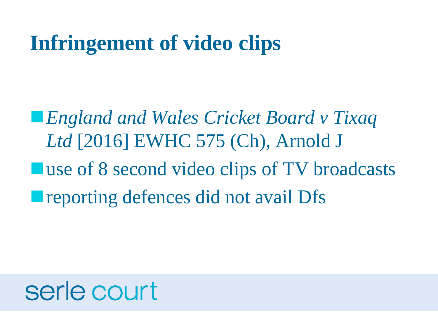### **Infringement of video clips**

■ *England and Wales Cricket Board v Tixaq Ltd* [2016] EWHC 575 (Ch), Arnold J ■ use of 8 second video clips of TV broadcasts **Interporting defences did not avail Dfs**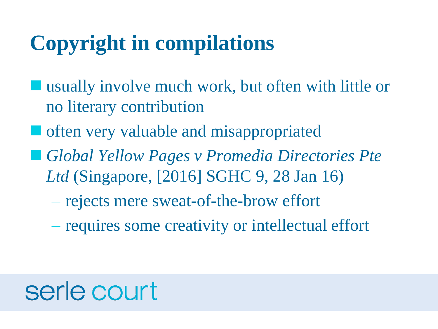### **Copyright in compilations**

- usually involve much work, but often with little or no literary contribution
- often very valuable and misappropriated
- *Global Yellow Pages v Promedia Directories Pte Ltd* (Singapore, [2016] SGHC 9, 28 Jan 16)
	- rejects mere sweat-of-the-brow effort
	- requires some creativity or intellectual effort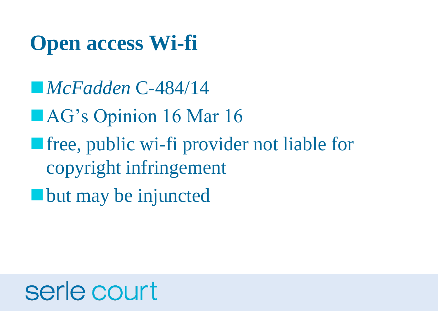### **Open access Wi-fi**

■ *McFadden* C-484/14

- AG's Opinion 16 Mar 16
- free, public wi-fi provider not liable for copyright infringement
- but may be injuncted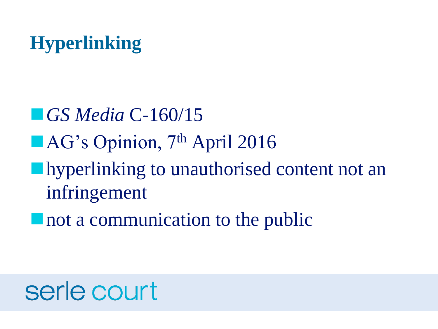### **Hyperlinking**

■ *GS Media* C-160/15 ■ AG's Opinion, 7<sup>th</sup> April 2016 **I** hyperlinking to unauthorised content not an infringement

■ not a communication to the public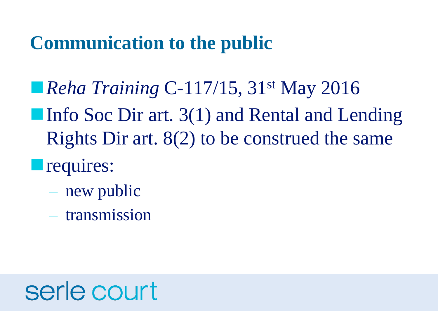#### **Communication to the public**

- *Reha Training C-117/15*, 31<sup>st</sup> May 2016 ■ Info Soc Dir art. 3(1) and Rental and Lending Rights Dir art. 8(2) to be construed the same
- **T**requires:
	- new public
	- transmission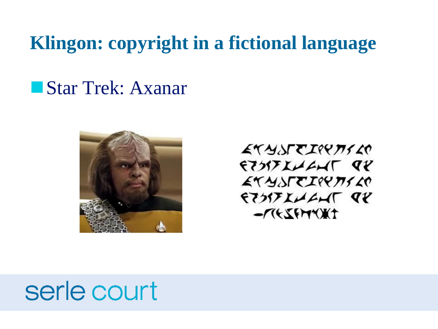#### **Klingon: copyright in a fictional language**

#### ■ Star Trek: Axanar



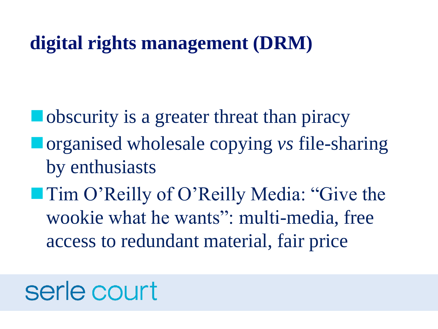#### **digital rights management (DRM)**

**u** obscurity is a greater threat than piracy ◼organised wholesale copying *vs* file-sharing by enthusiasts

■ Tim O'Reilly of O'Reilly Media: "Give the wookie what he wants": multi-media, free access to redundant material, fair price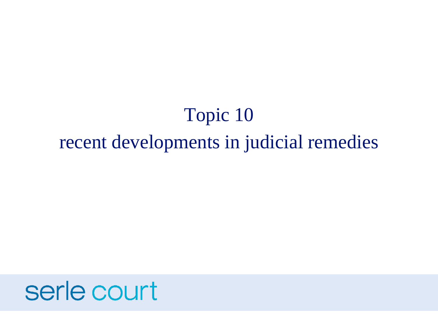### Topic 10 recent developments in judicial remedies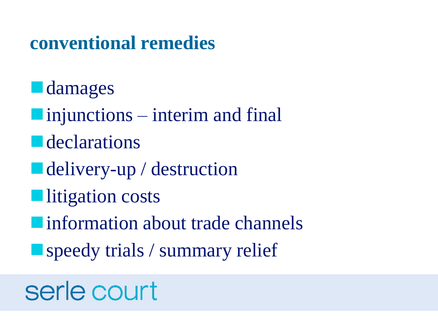#### **conventional remedies**

- **L** damages
- $\blacksquare$  injunctions interim and final
- **E** declarations
- delivery-up / destruction
- ■litigation costs
- information about trade channels
- speedy trials / summary relief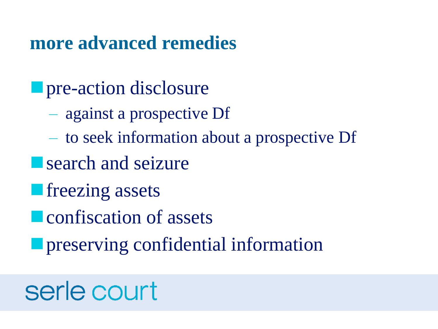#### **more advanced remedies**

- **<u>Exercise pre-action</u>** disclosure
	- against a prospective Df
	- to seek information about a prospective Df
- search and seizure
- **<u>native freezing</u>** assets
- **E** confiscation of assets
- **<u>Exercise preserving</u>** confidential information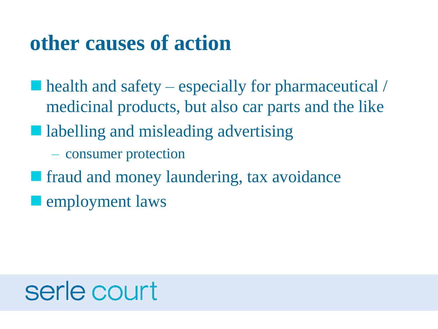#### **other causes of action**

 $\blacksquare$  health and safety – especially for pharmaceutical / medicinal products, but also car parts and the like

■ labelling and misleading advertising

– consumer protection

■ fraud and money laundering, tax avoidance

**Example yment laws**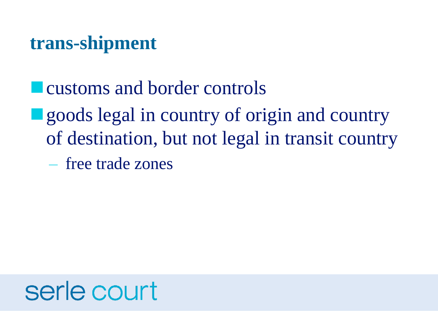#### **trans-shipment**

- customs and border controls
- goods legal in country of origin and country of destination, but not legal in transit country
	- free trade zones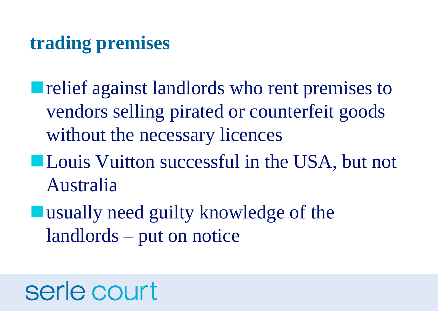#### **trading premises**

- relief against landlords who rent premises to vendors selling pirated or counterfeit goods without the necessary licences
- Louis Vuitton successful in the USA, but not Australia
- usually need guilty knowledge of the landlords – put on notice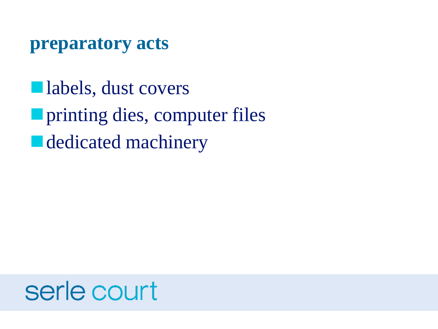#### **preparatory acts**

■labels, dust covers ■ printing dies, computer files ■ dedicated machinery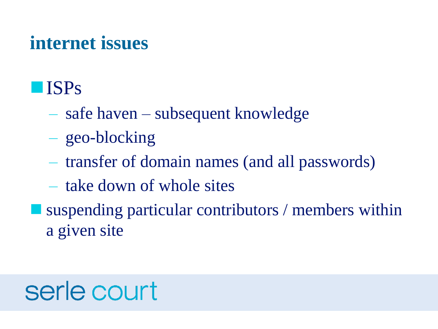#### **internet issues**

#### ■ISPs

- safe haven subsequent knowledge
- geo-blocking
- transfer of domain names (and all passwords)
- take down of whole sites
- suspending particular contributors / members within a given site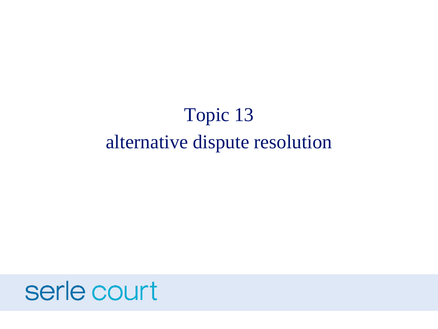### Topic 13 alternative dispute resolution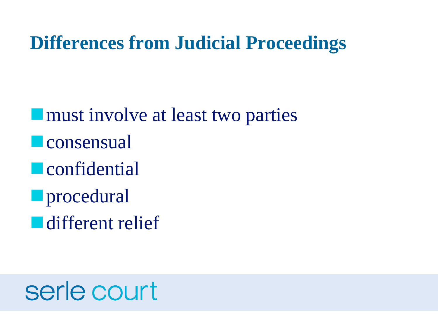#### **Differences from Judicial Proceedings**

**If** must involve at least two parties **u**consensual **u**confidential **<u></u>** procedural

■ different relief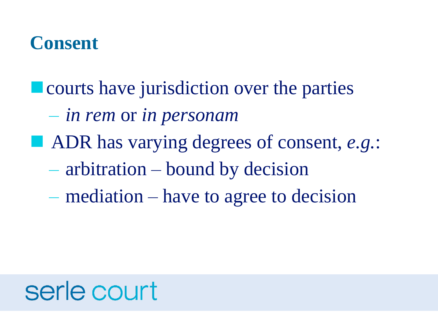#### **Consent**

- courts have jurisdiction over the parties
	- *in rem* or *in personam*
- ADR has varying degrees of consent, *e.g.*:
	- arbitration bound by decision
	- mediation have to agree to decision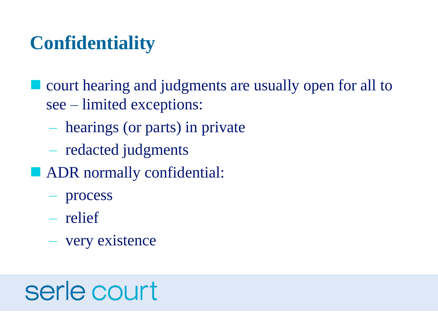#### **Confidentiality**

■ court hearing and judgments are usually open for all to see – limited exceptions:

- hearings (or parts) in private
- redacted judgments
- ADR normally confidential:
	- process
	- relief
	- very existence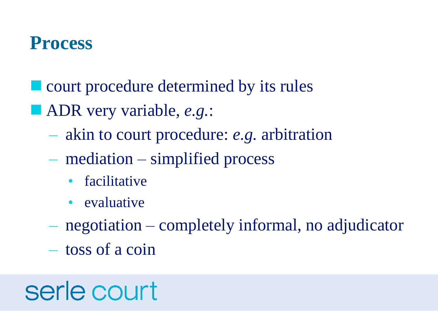#### **Process**

- court procedure determined by its rules
- ADR very variable, *e.g.*:
	- akin to court procedure: *e.g.* arbitration
	- mediation simplified process
		- **facilitative**
		- evaluative
	- negotiation completely informal, no adjudicator
	- toss of a coin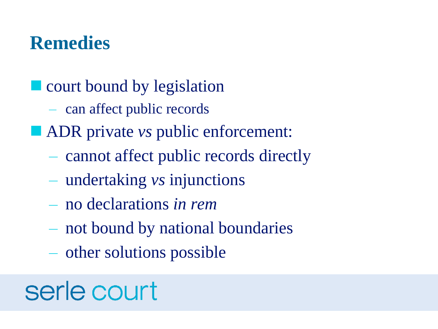#### **Remedies**

- court bound by legislation
	- can affect public records
- ADR private *vs* public enforcement:
	- cannot affect public records directly
	- undertaking *vs* injunctions
	- no declarations *in rem*
	- not bound by national boundaries
	- other solutions possible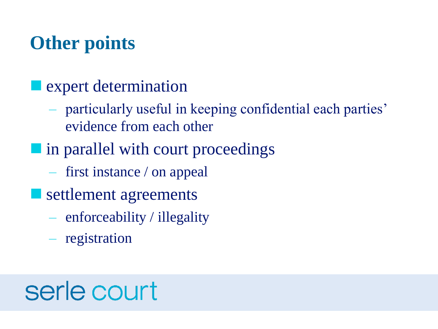#### **Other points**

#### **Expert determination**

- particularly useful in keeping confidential each parties' evidence from each other
- I in parallel with court proceedings
	- first instance / on appeal
- settlement agreements
	- enforceability / illegality
	- registration